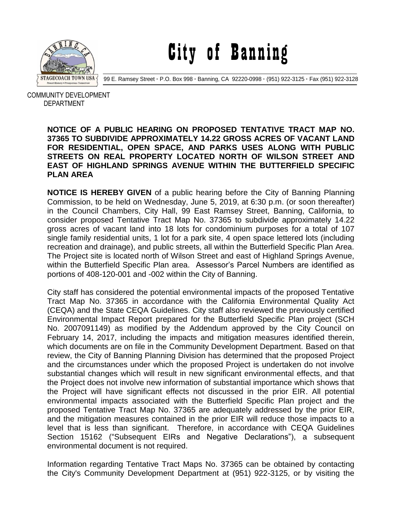

City of Banning

99 E. Ramsey Street **·** P.O. Box 998 **·** Banning, CA 92220-0998 **·** (951) 922-3125 **·** Fax (951) 922-3128

 COMMUNITY DEVELOPMENT DEPARTMENT

## **NOTICE OF A PUBLIC HEARING ON PROPOSED TENTATIVE TRACT MAP NO. 37365 TO SUBDIVIDE APPROXIMATELY 14.22 GROSS ACRES OF VACANT LAND FOR RESIDENTIAL, OPEN SPACE, AND PARKS USES ALONG WITH PUBLIC STREETS ON REAL PROPERTY LOCATED NORTH OF WILSON STREET AND EAST OF HIGHLAND SPRINGS AVENUE WITHIN THE BUTTERFIELD SPECIFIC PLAN AREA**

**NOTICE IS HEREBY GIVEN** of a public hearing before the City of Banning Planning Commission, to be held on Wednesday, June 5, 2019, at 6:30 p.m. (or soon thereafter) in the Council Chambers, City Hall, 99 East Ramsey Street, Banning, California, to consider proposed Tentative Tract Map No. 37365 to subdivide approximately 14.22 gross acres of vacant land into 18 lots for condominium purposes for a total of 107 single family residential units, 1 lot for a park site, 4 open space lettered lots (including recreation and drainage), and public streets, all within the Butterfield Specific Plan Area. The Project site is located north of Wilson Street and east of Highland Springs Avenue, within the Butterfield Specific Plan area. Assessor's Parcel Numbers are identified as portions of 408-120-001 and -002 within the City of Banning.

City staff has considered the potential environmental impacts of the proposed Tentative Tract Map No. 37365 in accordance with the California Environmental Quality Act (CEQA) and the State CEQA Guidelines. City staff also reviewed the previously certified Environmental Impact Report prepared for the Butterfield Specific Plan project (SCH No. 2007091149) as modified by the Addendum approved by the City Council on February 14, 2017, including the impacts and mitigation measures identified therein, which documents are on file in the Community Development Department. Based on that review, the City of Banning Planning Division has determined that the proposed Project and the circumstances under which the proposed Project is undertaken do not involve substantial changes which will result in new significant environmental effects, and that the Project does not involve new information of substantial importance which shows that the Project will have significant effects not discussed in the prior EIR. All potential environmental impacts associated with the Butterfield Specific Plan project and the proposed Tentative Tract Map No. 37365 are adequately addressed by the prior EIR, and the mitigation measures contained in the prior EIR will reduce those impacts to a level that is less than significant. Therefore, in accordance with CEQA Guidelines Section 15162 ("Subsequent EIRs and Negative Declarations"), a subsequent environmental document is not required.

Information regarding Tentative Tract Maps No. 37365 can be obtained by contacting the City's Community Development Department at (951) 922-3125, or by visiting the